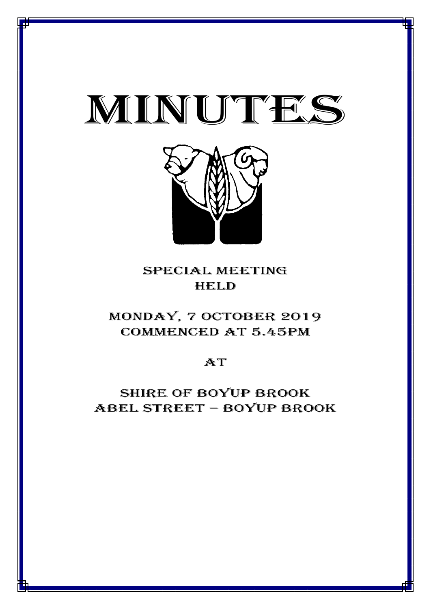



## special meeting **HELD**

# MONDAY, 7 October 2019 CommencED at 5.45PM

## $AT$

# Shire of boyup brook ABEL STREET – BOYUP BROOK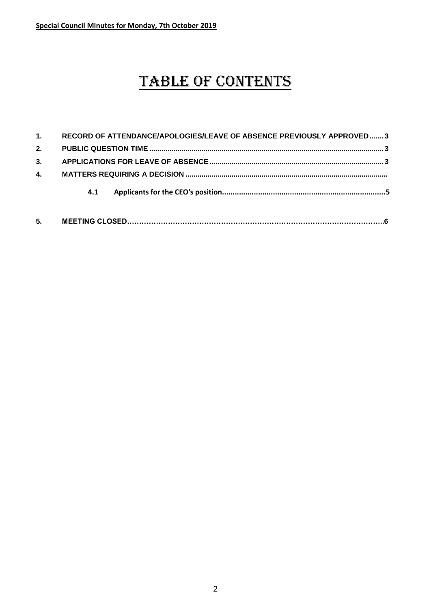# TABLE OF CONTENTS

| 5.             |                                                                       |
|----------------|-----------------------------------------------------------------------|
|                | 4.1                                                                   |
| $\mathbf{4}$ . |                                                                       |
| 3.             |                                                                       |
| 2.             |                                                                       |
| 1.             | RECORD OF ATTENDANCE/APOLOGIES/LEAVE OF ABSENCE PREVIOUSLY APPROVED 3 |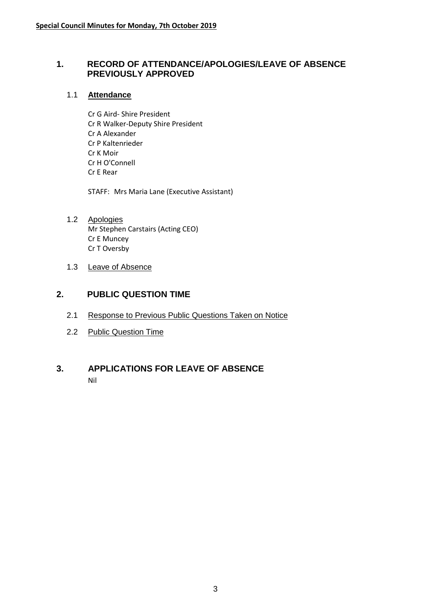#### <span id="page-2-0"></span>**1. RECORD OF ATTENDANCE/APOLOGIES/LEAVE OF ABSENCE PREVIOUSLY APPROVED**

#### 1.1 **Attendance**

Cr G Aird- Shire President Cr R Walker-Deputy Shire President Cr A Alexander Cr P Kaltenrieder Cr K Moir Cr H O'Connell Cr E Rear

STAFF: Mrs Maria Lane (Executive Assistant)

- 1.2 Apologies Mr Stephen Carstairs (Acting CEO) Cr E Muncey Cr T Oversby
- 1.3 Leave of Absence

### <span id="page-2-1"></span>**2. PUBLIC QUESTION TIME**

- 2.1 Response to Previous Public Questions Taken on Notice
- 2.2 Public Question Time

#### <span id="page-2-2"></span>**3. APPLICATIONS FOR LEAVE OF ABSENCE** Nil

3